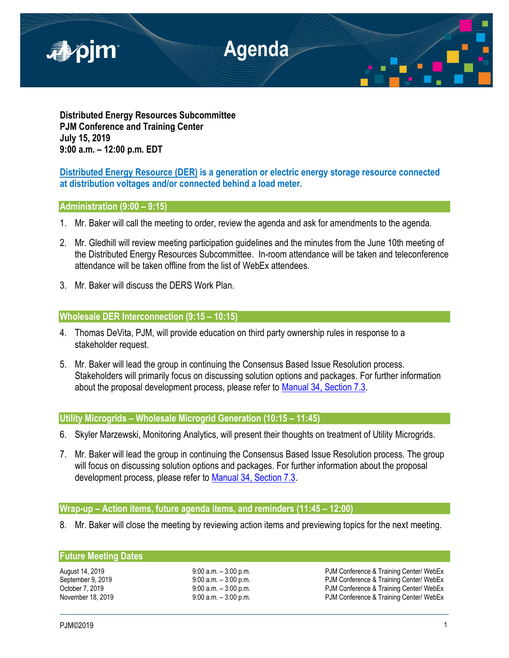

**Distributed Energy Resources Subcommittee PJM Conference and Training Center July 15, 2019 9:00 a.m. – 12:00 p.m. EDT**

# **Distributed Energy Resource (DER) is a generation or electric energy storage resource connected at distribution voltages and/or connected behind a load meter.**

## **Administration (9:00 – 9:15)**

- 1. Mr. Baker will call the meeting to order, review the agenda and ask for amendments to the agenda.
- 2. Mr. Gledhill will review meeting participation guidelines and the minutes from the June 10th meeting of the Distributed Energy Resources Subcommittee. In-room attendance will be taken and teleconference attendance will be taken offline from the list of WebEx attendees.
- 3. Mr. Baker will discuss the DERS Work Plan.

## **Wholesale DER Interconnection (9:15 – 10:15)**

- 4. Thomas DeVita, PJM, will provide education on third party ownership rules in response to a stakeholder request.
- 5. Mr. Baker will lead the group in continuing the Consensus Based Issue Resolution process. Stakeholders will primarily focus on discussing solution options and packages. For further information about the proposal development process, please refer to [Manual 34, Section 7.3.](https://www.pjm.com/-/media/documents/manuals/m34.ashx)

## **Utility Microgrids – Wholesale Microgrid Generation (10:15 – 11:45)**

- 6. Skyler Marzewski, Monitoring Analytics, will present their thoughts on treatment of Utility Microgrids.
- 7. Mr. Baker will lead the group in continuing the Consensus Based Issue Resolution process. The group will focus on discussing solution options and packages. For further information about the proposal development process, please refer to [Manual 34, Section 7.3.](https://www.pjm.com/-/media/documents/manuals/m34.ashx)

## **Wrap-up – Action items, future agenda items, and reminders (11:45 – 12:00)**

8. Mr. Baker will close the meeting by reviewing action items and previewing topics for the next meeting.

### **Future Meeting Dates**

August 14, 2019 **19:00 a.m.** – 3:00 p.m. **PJM Conference & Training Center/ WebEx**<br>
9:00 a.m. – 3:00 p.m. PJM Conference & Training Center/ WebEx September 9, 2019 <br>
9:00 a.m. – 3:00 p.m. PJM Conference & Training Center/ WebEx<br>
9:00 a.m. – 3:00 p.m. PJM Conference & Training Center/ WebEx PJM Conference & Training Center/ WebEx November 18, 2019 **19:00 a.m.** – 3:00 p.m. **PJM Conference & Training Center/ WebEx**